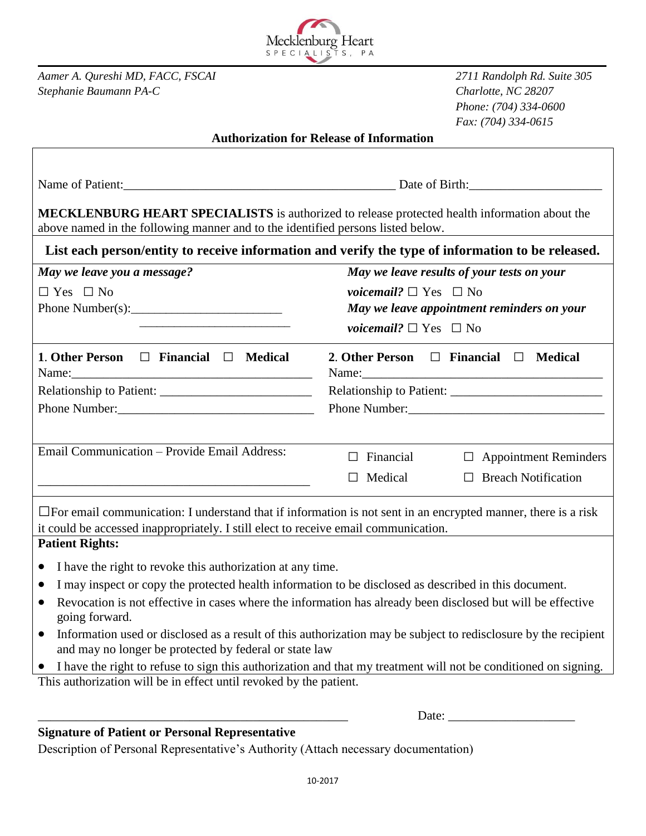

*Aamer A. Qureshi MD, FACC, FSCAI 2711 Randolph Rd. Suite 305 Stephanie Baumann PA-C Charlotte, NC 28207*

*Phone: (704) 334-0600 Fax: (704) 334-0615*

Date:

## **Authorization for Release of Information**

| Name of Patient: Date of Birth: Date of Birth:                                                                                                                                                              |                                            |                                                 |  |
|-------------------------------------------------------------------------------------------------------------------------------------------------------------------------------------------------------------|--------------------------------------------|-------------------------------------------------|--|
| MECKLENBURG HEART SPECIALISTS is authorized to release protected health information about the<br>above named in the following manner and to the identified persons listed below.                            |                                            |                                                 |  |
| List each person/entity to receive information and verify the type of information to be released.                                                                                                           |                                            |                                                 |  |
| May we leave you a message?                                                                                                                                                                                 | May we leave results of your tests on your |                                                 |  |
| $\Box$ Yes $\Box$ No                                                                                                                                                                                        | <i>voicemail?</i> $\Box$ Yes $\Box$ No     |                                                 |  |
|                                                                                                                                                                                                             | May we leave appointment reminders on your |                                                 |  |
|                                                                                                                                                                                                             | <i>voicemail?</i> $\Box$ Yes $\Box$ No     |                                                 |  |
| 1. Other Person $\Box$ Financial $\Box$ Medical                                                                                                                                                             |                                            | 2. Other Person $\Box$ Financial $\Box$ Medical |  |
|                                                                                                                                                                                                             |                                            |                                                 |  |
|                                                                                                                                                                                                             |                                            |                                                 |  |
|                                                                                                                                                                                                             |                                            |                                                 |  |
| Email Communication - Provide Email Address:                                                                                                                                                                | $\Box$ Financial                           | $\Box$ Appointment Reminders                    |  |
|                                                                                                                                                                                                             | $\Box$ Medical                             | $\Box$ Breach Notification                      |  |
| $\Box$ For email communication: I understand that if information is not sent in an encrypted manner, there is a risk<br>it could be accessed inappropriately. I still elect to receive email communication. |                                            |                                                 |  |
| <b>Patient Rights:</b>                                                                                                                                                                                      |                                            |                                                 |  |
| I have the right to revoke this authorization at any time.<br>$\bullet$                                                                                                                                     |                                            |                                                 |  |
| I may inspect or copy the protected health information to be disclosed as described in this document.<br>$\bullet$                                                                                          |                                            |                                                 |  |
| Revocation is not effective in cases where the information has already been disclosed but will be effective<br>$\bullet$<br>going forward.                                                                  |                                            |                                                 |  |
| Information used or disclosed as a result of this authorization may be subject to redisclosure by the recipient<br>$\bullet$<br>and may no longer be protected by federal or state law                      |                                            |                                                 |  |
| • I have the right to refuse to sign this authorization and that my treatment will not be conditioned on signing.                                                                                           |                                            |                                                 |  |
| This authorization will be in effect until revoked by the patient.                                                                                                                                          |                                            |                                                 |  |

**Signature of Patient or Personal Representative**

Description of Personal Representative's Authority (Attach necessary documentation)